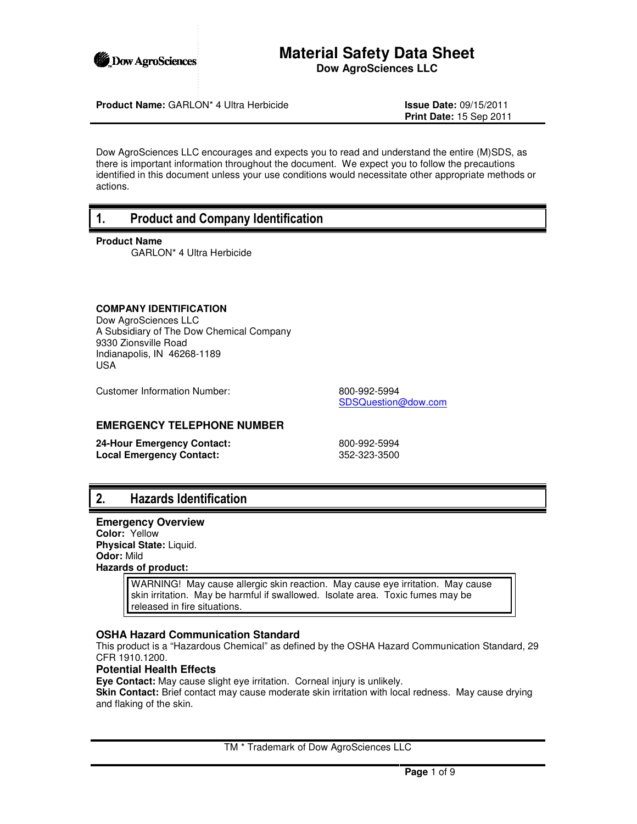

### **Material Safety Data Sheet Dow AgroSciences LLC**

**Product Name:** GARLON\* 4 Ultra Herbicide **Issue Date:** 09/15/2011

**Print Date:** 15 Sep 2011

Dow AgroSciences LLC encourages and expects you to read and understand the entire (M)SDS, as there is important information throughout the document. We expect you to follow the precautions identified in this document unless your use conditions would necessitate other appropriate methods or actions.

## 1. Product and Company Identification

#### **Product Name**

GARLON\* 4 Ultra Herbicide

#### **COMPANY IDENTIFICATION**

Dow AgroSciences LLC A Subsidiary of The Dow Chemical Company 9330 Zionsville Road Indianapolis, IN 46268-1189 USA

Customer Information Number: 800-992-5994

SDSQuestion@dow.com

#### **EMERGENCY TELEPHONE NUMBER**

**24-Hour Emergency Contact:** 800-992-5994 **Local Emergency Contact:** 352-323-3500

# 2. Hazards Identification

# **Emergency Overview**

**Color:** Yellow **Physical State:** Liquid. **Odor:** Mild **Hazards of product:**

> WARNING! May cause allergic skin reaction. May cause eye irritation. May cause skin irritation. May be harmful if swallowed. Isolate area. Toxic fumes may be released in fire situations.

#### **OSHA Hazard Communication Standard**

This product is a "Hazardous Chemical" as defined by the OSHA Hazard Communication Standard, 29 CFR 1910.1200.

#### **Potential Health Effects**

**Eye Contact:** May cause slight eye irritation. Corneal injury is unlikely.

**Skin Contact:** Brief contact may cause moderate skin irritation with local redness. May cause drying and flaking of the skin.

TM \* Trademark of Dow AgroSciences LLC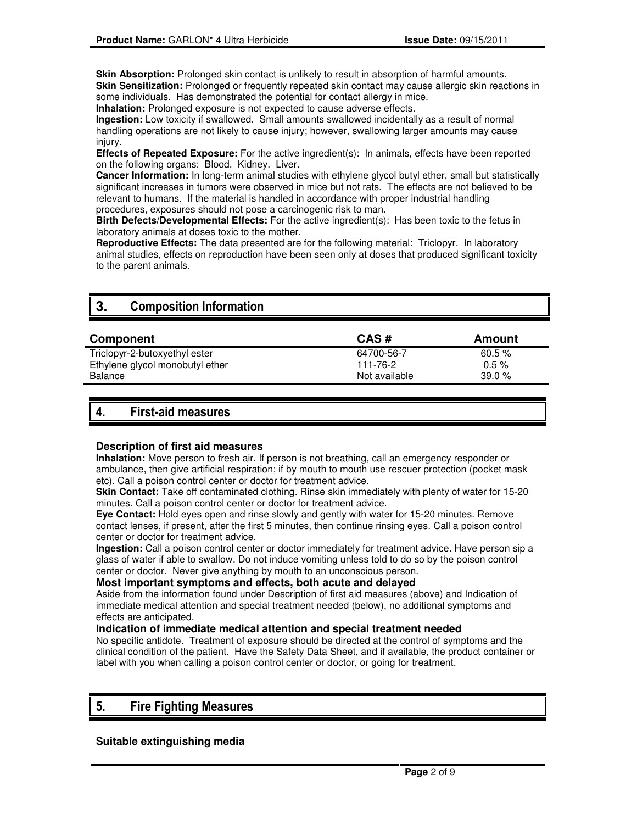**Skin Absorption:** Prolonged skin contact is unlikely to result in absorption of harmful amounts. **Skin Sensitization:** Prolonged or frequently repeated skin contact may cause allergic skin reactions in some individuals. Has demonstrated the potential for contact allergy in mice.

**Inhalation:** Prolonged exposure is not expected to cause adverse effects.

**Ingestion:** Low toxicity if swallowed. Small amounts swallowed incidentally as a result of normal handling operations are not likely to cause injury; however, swallowing larger amounts may cause injury.

**Effects of Repeated Exposure:** For the active ingredient(s): In animals, effects have been reported on the following organs: Blood. Kidney. Liver.

**Cancer Information:** In long-term animal studies with ethylene glycol butyl ether, small but statistically significant increases in tumors were observed in mice but not rats. The effects are not believed to be relevant to humans. If the material is handled in accordance with proper industrial handling procedures, exposures should not pose a carcinogenic risk to man.

**Birth Defects/Developmental Effects:** For the active ingredient(s): Has been toxic to the fetus in laboratory animals at doses toxic to the mother.

**Reproductive Effects:** The data presented are for the following material: Triclopyr. In laboratory animal studies, effects on reproduction have been seen only at doses that produced significant toxicity to the parent animals.

# **3.** Composition Information

| Component                       | CAS#          | Amount    |
|---------------------------------|---------------|-----------|
| Triclopyr-2-butoxyethyl ester   | 64700-56-7    | $60.5 \%$ |
| Ethylene glycol monobutyl ether | 111-76-2      | $0.5 \%$  |
| Balance                         | Not available | 39.0%     |
|                                 |               |           |

# 4. First-aid measures

#### **Description of first aid measures**

**Inhalation:** Move person to fresh air. If person is not breathing, call an emergency responder or ambulance, then give artificial respiration; if by mouth to mouth use rescuer protection (pocket mask etc). Call a poison control center or doctor for treatment advice.

**Skin Contact:** Take off contaminated clothing. Rinse skin immediately with plenty of water for 15-20 minutes. Call a poison control center or doctor for treatment advice.

**Eye Contact:** Hold eyes open and rinse slowly and gently with water for 15-20 minutes. Remove contact lenses, if present, after the first 5 minutes, then continue rinsing eyes. Call a poison control center or doctor for treatment advice.

**Ingestion:** Call a poison control center or doctor immediately for treatment advice. Have person sip a glass of water if able to swallow. Do not induce vomiting unless told to do so by the poison control center or doctor. Never give anything by mouth to an unconscious person.

#### **Most important symptoms and effects, both acute and delayed**

Aside from the information found under Description of first aid measures (above) and Indication of immediate medical attention and special treatment needed (below), no additional symptoms and effects are anticipated.

#### **Indication of immediate medical attention and special treatment needed**

No specific antidote. Treatment of exposure should be directed at the control of symptoms and the clinical condition of the patient. Have the Safety Data Sheet, and if available, the product container or label with you when calling a poison control center or doctor, or going for treatment.

## 5. Fire Fighting Measures

#### **Suitable extinguishing media**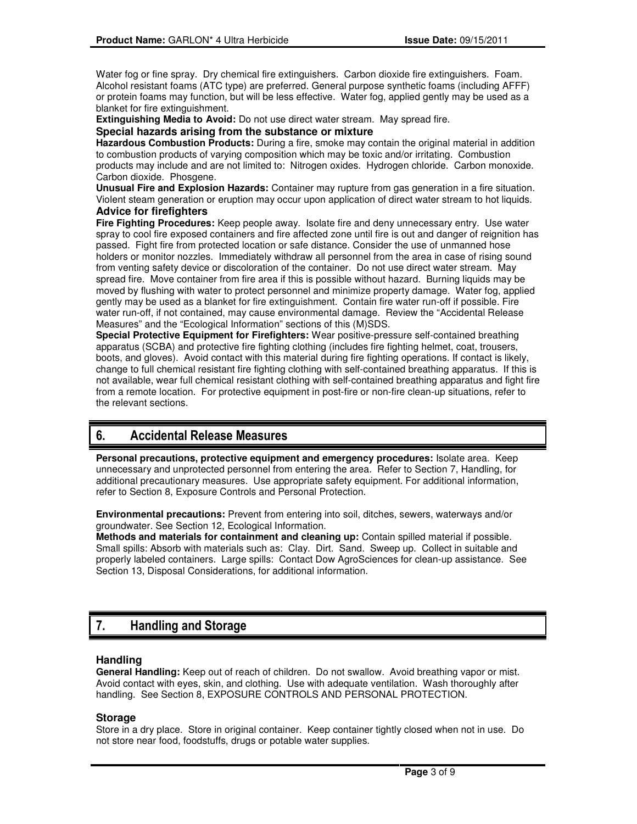Water fog or fine spray. Dry chemical fire extinguishers. Carbon dioxide fire extinguishers. Foam. Alcohol resistant foams (ATC type) are preferred. General purpose synthetic foams (including AFFF) or protein foams may function, but will be less effective. Water fog, applied gently may be used as a blanket for fire extinguishment.

**Extinguishing Media to Avoid:** Do not use direct water stream. May spread fire.

#### **Special hazards arising from the substance or mixture**

**Hazardous Combustion Products:** During a fire, smoke may contain the original material in addition to combustion products of varying composition which may be toxic and/or irritating. Combustion products may include and are not limited to: Nitrogen oxides. Hydrogen chloride. Carbon monoxide. Carbon dioxide. Phosgene.

**Unusual Fire and Explosion Hazards:** Container may rupture from gas generation in a fire situation. Violent steam generation or eruption may occur upon application of direct water stream to hot liquids. **Advice for firefighters**

**Fire Fighting Procedures:** Keep people away. Isolate fire and deny unnecessary entry. Use water spray to cool fire exposed containers and fire affected zone until fire is out and danger of reignition has passed. Fight fire from protected location or safe distance. Consider the use of unmanned hose holders or monitor nozzles. Immediately withdraw all personnel from the area in case of rising sound from venting safety device or discoloration of the container. Do not use direct water stream. May spread fire. Move container from fire area if this is possible without hazard. Burning liquids may be moved by flushing with water to protect personnel and minimize property damage. Water fog, applied gently may be used as a blanket for fire extinguishment. Contain fire water run-off if possible. Fire water run-off, if not contained, may cause environmental damage. Review the "Accidental Release Measures" and the "Ecological Information" sections of this (M)SDS.

**Special Protective Equipment for Firefighters:** Wear positive-pressure self-contained breathing apparatus (SCBA) and protective fire fighting clothing (includes fire fighting helmet, coat, trousers, boots, and gloves). Avoid contact with this material during fire fighting operations. If contact is likely, change to full chemical resistant fire fighting clothing with self-contained breathing apparatus. If this is not available, wear full chemical resistant clothing with self-contained breathing apparatus and fight fire from a remote location. For protective equipment in post-fire or non-fire clean-up situations, refer to the relevant sections.

# 6. Accidental Release Measures

**Personal precautions, protective equipment and emergency procedures:** Isolate area. Keep unnecessary and unprotected personnel from entering the area. Refer to Section 7, Handling, for additional precautionary measures. Use appropriate safety equipment. For additional information, refer to Section 8, Exposure Controls and Personal Protection.

**Environmental precautions:** Prevent from entering into soil, ditches, sewers, waterways and/or groundwater. See Section 12, Ecological Information.

**Methods and materials for containment and cleaning up:** Contain spilled material if possible. Small spills: Absorb with materials such as: Clay. Dirt. Sand. Sweep up. Collect in suitable and properly labeled containers. Large spills: Contact Dow AgroSciences for clean-up assistance. See Section 13, Disposal Considerations, for additional information.

# 7. Handling and Storage

#### **Handling**

**General Handling:** Keep out of reach of children. Do not swallow. Avoid breathing vapor or mist. Avoid contact with eyes, skin, and clothing. Use with adequate ventilation. Wash thoroughly after handling. See Section 8, EXPOSURE CONTROLS AND PERSONAL PROTECTION.

#### **Storage**

Store in a dry place. Store in original container. Keep container tightly closed when not in use. Do not store near food, foodstuffs, drugs or potable water supplies.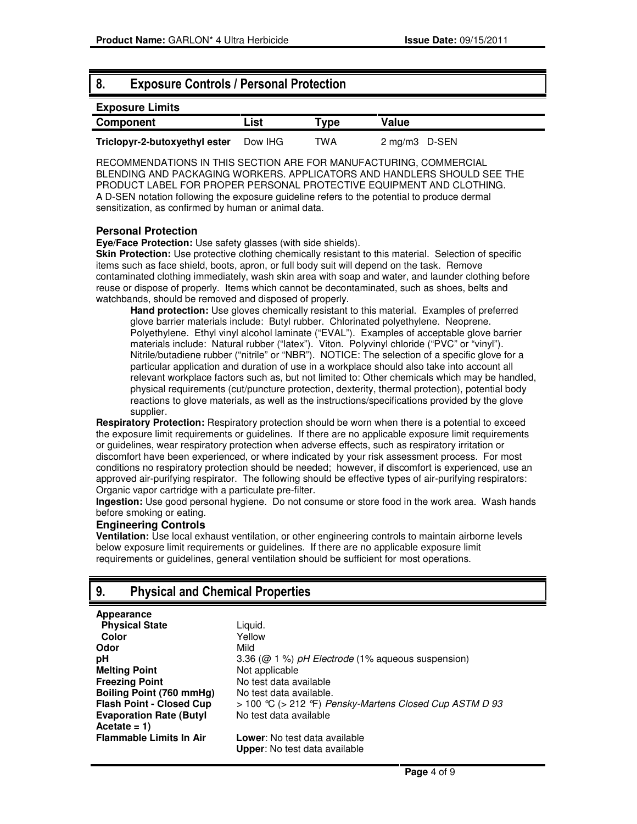### 8. Exposure Controls / Personal Protection

# **Exposure Limits Component List Type Value Triclopyr-2-butoxyethyl ester** Dow IHG TWA 2 mg/m3 D-SEN

RECOMMENDATIONS IN THIS SECTION ARE FOR MANUFACTURING, COMMERCIAL BLENDING AND PACKAGING WORKERS. APPLICATORS AND HANDLERS SHOULD SEE THE PRODUCT LABEL FOR PROPER PERSONAL PROTECTIVE EQUIPMENT AND CLOTHING. A D-SEN notation following the exposure guideline refers to the potential to produce dermal sensitization, as confirmed by human or animal data.

#### **Personal Protection**

**Eye/Face Protection:** Use safety glasses (with side shields).

**Skin Protection:** Use protective clothing chemically resistant to this material. Selection of specific items such as face shield, boots, apron, or full body suit will depend on the task. Remove contaminated clothing immediately, wash skin area with soap and water, and launder clothing before reuse or dispose of properly. Items which cannot be decontaminated, such as shoes, belts and watchbands, should be removed and disposed of properly.

**Hand protection:** Use gloves chemically resistant to this material. Examples of preferred glove barrier materials include: Butyl rubber. Chlorinated polyethylene. Neoprene. Polyethylene. Ethyl vinyl alcohol laminate ("EVAL"). Examples of acceptable glove barrier materials include: Natural rubber ("latex"). Viton. Polyvinyl chloride ("PVC" or "vinyl"). Nitrile/butadiene rubber ("nitrile" or "NBR"). NOTICE: The selection of a specific glove for a particular application and duration of use in a workplace should also take into account all relevant workplace factors such as, but not limited to: Other chemicals which may be handled, physical requirements (cut/puncture protection, dexterity, thermal protection), potential body reactions to glove materials, as well as the instructions/specifications provided by the glove supplier.

**Respiratory Protection:** Respiratory protection should be worn when there is a potential to exceed the exposure limit requirements or guidelines. If there are no applicable exposure limit requirements or guidelines, wear respiratory protection when adverse effects, such as respiratory irritation or discomfort have been experienced, or where indicated by your risk assessment process. For most conditions no respiratory protection should be needed; however, if discomfort is experienced, use an approved air-purifying respirator. The following should be effective types of air-purifying respirators: Organic vapor cartridge with a particulate pre-filter.

**Ingestion:** Use good personal hygiene. Do not consume or store food in the work area. Wash hands before smoking or eating.

#### **Engineering Controls**

**Ventilation:** Use local exhaust ventilation, or other engineering controls to maintain airborne levels below exposure limit requirements or guidelines. If there are no applicable exposure limit requirements or guidelines, general ventilation should be sufficient for most operations.

## 9. Physical and Chemical Properties

#### **Appearance**

| <b>Physical State</b>           |
|---------------------------------|
| Color                           |
| Odor                            |
| pH                              |
| <b>Melting Point</b>            |
| <b>Freezing Point</b>           |
| Boiling Point (760 mmHg)        |
| <b>Flash Point - Closed Cup</b> |
| <b>Evaporation Rate (Butyl</b>  |
| Acetate = $1)$                  |
| <b>Flammable Limits In Air</b>  |

Liquid. **Color** Yellow **Odor** Mild **pH** 3.36 (@ 1 %) pH Electrode (1% aqueous suspension) **Not applicable Freezing Point** No test data available No test data available. **Flash Point - Closed Cup** > 100 °C (> 212 °F) Pensky-Martens Closed Cup ASTM D 93 No test data available **Lower:** No test data available **Upper**: No test data available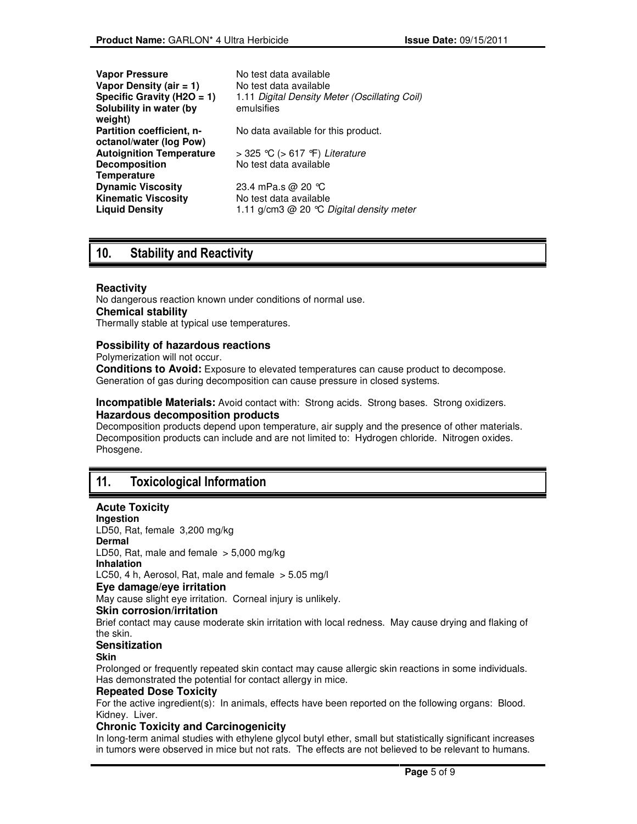| <b>Vapor Pressure</b><br>Vapor Density (air $= 1$ )<br>Specific Gravity (H2O = 1)<br>Solubility in water (by<br>weight) | No test data available<br>No test data available<br>1.11 Digital Density Meter (Oscillating Coil)<br>emulsifies |
|-------------------------------------------------------------------------------------------------------------------------|-----------------------------------------------------------------------------------------------------------------|
| Partition coefficient, n-<br>octanol/water (log Pow)                                                                    | No data available for this product.                                                                             |
| <b>Autoignition Temperature</b>                                                                                         | > 325 °C (> 617 °F) Literature                                                                                  |
| <b>Decomposition</b><br><b>Temperature</b>                                                                              | No test data available                                                                                          |
| <b>Dynamic Viscosity</b>                                                                                                | 23.4 mPa.s @ 20 $^{\circ}$ C                                                                                    |
| <b>Kinematic Viscosity</b><br><b>Liquid Density</b>                                                                     | No test data available<br>1.11 g/cm3 @ 20 ℃ Digital density meter                                               |

# 10. Stability and Reactivity

#### **Reactivity**

No dangerous reaction known under conditions of normal use. **Chemical stability**

Thermally stable at typical use temperatures.

#### **Possibility of hazardous reactions**

Polymerization will not occur.

**Conditions to Avoid:** Exposure to elevated temperatures can cause product to decompose. Generation of gas during decomposition can cause pressure in closed systems.

**Incompatible Materials:** Avoid contact with: Strong acids. Strong bases. Strong oxidizers. **Hazardous decomposition products**

Decomposition products depend upon temperature, air supply and the presence of other materials. Decomposition products can include and are not limited to: Hydrogen chloride. Nitrogen oxides. Phosgene.

# 11. Toxicological Information

#### **Acute Toxicity**

**Ingestion**  LD50, Rat, female 3,200 mg/kg **Dermal**  LD50, Rat, male and female  $> 5,000$  mg/kg **Inhalation**  LC50, 4 h, Aerosol, Rat, male and female  $>$  5.05 mg/l **Eye damage/eye irritation** May cause slight eye irritation. Corneal injury is unlikely. **Skin corrosion/irritation** Brief contact may cause moderate skin irritation with local redness. May cause drying and flaking of the skin. **Sensitization**

#### **Skin**

Prolonged or frequently repeated skin contact may cause allergic skin reactions in some individuals. Has demonstrated the potential for contact allergy in mice.

#### **Repeated Dose Toxicity**

For the active ingredient(s): In animals, effects have been reported on the following organs: Blood. Kidney. Liver.

#### **Chronic Toxicity and Carcinogenicity**

In long-term animal studies with ethylene glycol butyl ether, small but statistically significant increases in tumors were observed in mice but not rats. The effects are not believed to be relevant to humans.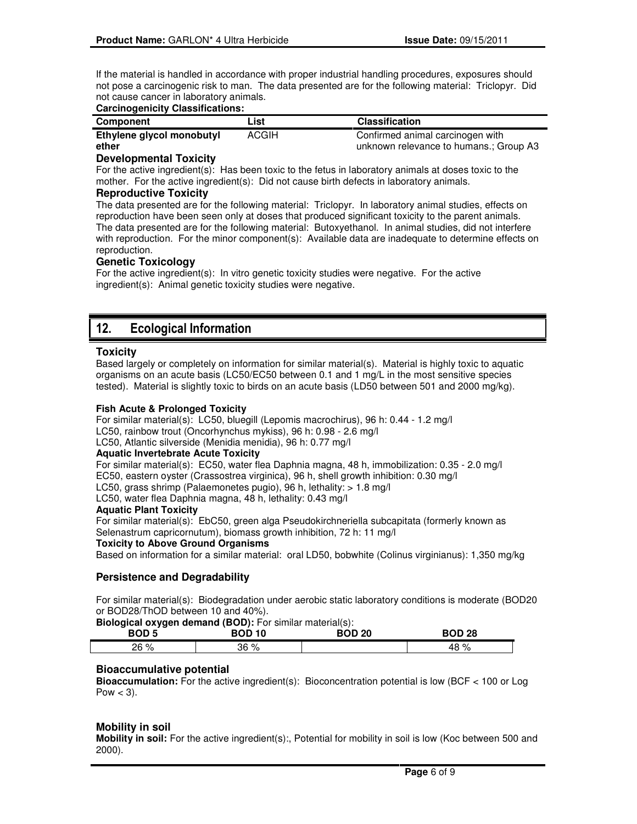If the material is handled in accordance with proper industrial handling procedures, exposures should not pose a carcinogenic risk to man. The data presented are for the following material: Triclopyr. Did not cause cancer in laboratory animals.

#### **Carcinogenicity Classifications:**

| Component                 | List  | <b>Classification</b>                  |
|---------------------------|-------|----------------------------------------|
| Ethylene glycol monobutyl | ACGIH | Confirmed animal carcinogen with       |
| ether                     |       | unknown relevance to humans.; Group A3 |

#### **Developmental Toxicity**

For the active ingredient(s): Has been toxic to the fetus in laboratory animals at doses toxic to the mother. For the active ingredient(s): Did not cause birth defects in laboratory animals.

#### **Reproductive Toxicity**

The data presented are for the following material: Triclopyr. In laboratory animal studies, effects on reproduction have been seen only at doses that produced significant toxicity to the parent animals. The data presented are for the following material: Butoxyethanol. In animal studies, did not interfere with reproduction. For the minor component(s): Available data are inadequate to determine effects on reproduction.

#### **Genetic Toxicology**

For the active ingredient(s): In vitro genetic toxicity studies were negative. For the active ingredient(s): Animal genetic toxicity studies were negative.

# 12. Ecological Information

#### **Toxicity**

Based largely or completely on information for similar material(s). Material is highly toxic to aquatic organisms on an acute basis (LC50/EC50 between 0.1 and 1 mg/L in the most sensitive species tested). Material is slightly toxic to birds on an acute basis (LD50 between 501 and 2000 mg/kg).

#### **Fish Acute & Prolonged Toxicity**

For similar material(s): LC50, bluegill (Lepomis macrochirus), 96 h: 0.44 - 1.2 mg/l LC50, rainbow trout (Oncorhynchus mykiss), 96 h: 0.98 - 2.6 mg/l LC50, Atlantic silverside (Menidia menidia), 96 h: 0.77 mg/l

#### **Aquatic Invertebrate Acute Toxicity**

For similar material(s): EC50, water flea Daphnia magna, 48 h, immobilization: 0.35 - 2.0 mg/l EC50, eastern oyster (Crassostrea virginica), 96 h, shell growth inhibition: 0.30 mg/l LC50, grass shrimp (Palaemonetes pugio), 96 h, lethality: > 1.8 mg/l LC50, water flea Daphnia magna, 48 h, lethality: 0.43 mg/l

#### **Aquatic Plant Toxicity**

For similar material(s): EbC50, green alga Pseudokirchneriella subcapitata (formerly known as Selenastrum capricornutum), biomass growth inhibition, 72 h: 11 mg/l **Toxicity to Above Ground Organisms** 

Based on information for a similar material:oral LD50, bobwhite (Colinus virginianus): 1,350 mg/kg

#### **Persistence and Degradability**

For similar material(s): Biodegradation under aerobic static laboratory conditions is moderate (BOD20 or BOD28/ThOD between 10 and 40%).

**Biological oxygen demand (BOD):** For similar material(s):

| - -<br><b>BOD5</b> | _______<br><b>BOD 10</b> | <b>BOD 20</b> | <b>BOD 28</b> |
|--------------------|--------------------------|---------------|---------------|
| റെ 0/<br>70<br>∠∪  | 36 %                     |               | 48 Y          |

#### **Bioaccumulative potential**

**Bioaccumulation:** For the active ingredient(s): Bioconcentration potential is low (BCF < 100 or Log Pow  $<$  3).

#### **Mobility in soil**

**Mobility in soil:** For the active ingredient(s):, Potential for mobility in soil is low (Koc between 500 and 2000).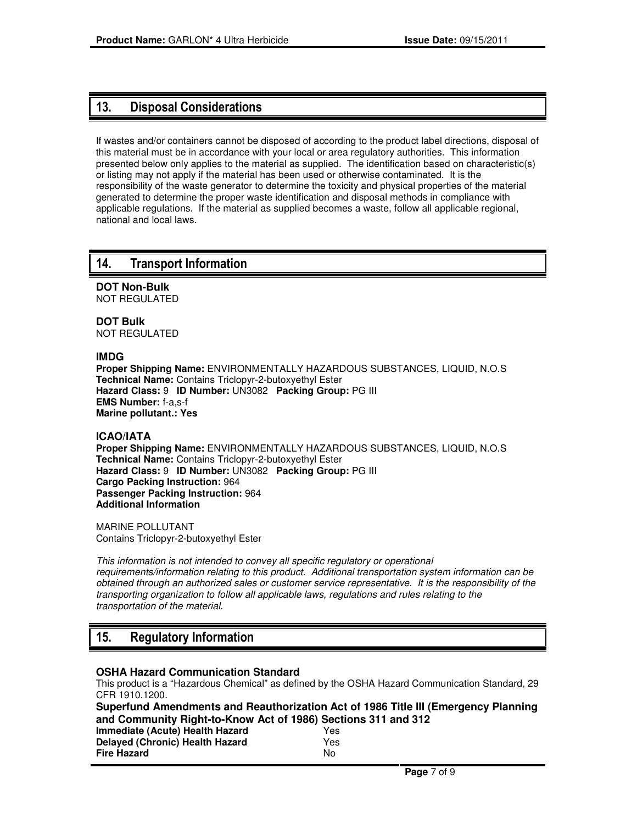## 13. Disposal Considerations

If wastes and/or containers cannot be disposed of according to the product label directions, disposal of this material must be in accordance with your local or area regulatory authorities. This information presented below only applies to the material as supplied. The identification based on characteristic(s) or listing may not apply if the material has been used or otherwise contaminated. It is the responsibility of the waste generator to determine the toxicity and physical properties of the material generated to determine the proper waste identification and disposal methods in compliance with applicable regulations. If the material as supplied becomes a waste, follow all applicable regional, national and local laws.

### 14. Transport Information

**DOT Non-Bulk** NOT REGULATED

**DOT Bulk** NOT REGULATED

#### **IMDG**

**Proper Shipping Name:** ENVIRONMENTALLY HAZARDOUS SUBSTANCES, LIQUID, N.O.S **Technical Name:** Contains Triclopyr-2-butoxyethyl Ester **Hazard Class:** 9 **ID Number:** UN3082 **Packing Group:** PG III **EMS Number:** f-a,s-f **Marine pollutant.: Yes**

#### **ICAO/IATA**

**Proper Shipping Name:** ENVIRONMENTALLY HAZARDOUS SUBSTANCES, LIQUID, N.O.S **Technical Name:** Contains Triclopyr-2-butoxyethyl Ester **Hazard Class:** 9 **ID Number:** UN3082 **Packing Group:** PG III **Cargo Packing Instruction:** 964 **Passenger Packing Instruction:** 964 **Additional Information**

MARINE POLLUTANT Contains Triclopyr-2-butoxyethyl Ester

This information is not intended to convey all specific regulatory or operational requirements/information relating to this product. Additional transportation system information can be obtained through an authorized sales or customer service representative. It is the responsibility of the transporting organization to follow all applicable laws, regulations and rules relating to the transportation of the material.

# 15. Regulatory Information

#### **OSHA Hazard Communication Standard**

This product is a "Hazardous Chemical" as defined by the OSHA Hazard Communication Standard, 29 CFR 1910.1200.

**Superfund Amendments and Reauthorization Act of 1986 Title III (Emergency Planning and Community Right-to-Know Act of 1986) Sections 311 and 312 Immediate (Acute) Health Hazard** Yes

| 152  |
|------|
| Yes. |
| Nο   |
|      |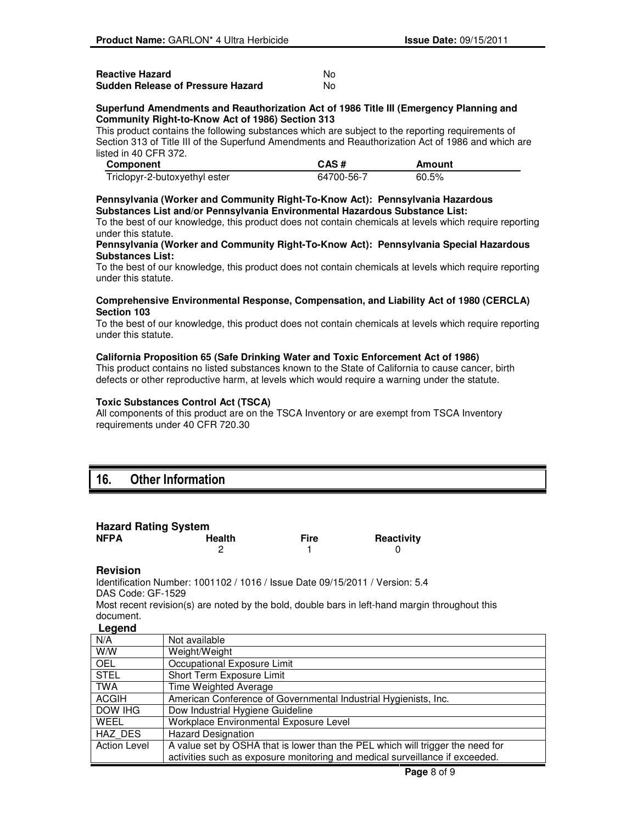| <b>Reactive Hazard</b>            | No. |
|-----------------------------------|-----|
| Sudden Release of Pressure Hazard | No. |

#### **Superfund Amendments and Reauthorization Act of 1986 Title III (Emergency Planning and Community Right-to-Know Act of 1986) Section 313**

This product contains the following substances which are subject to the reporting requirements of Section 313 of Title III of the Superfund Amendments and Reauthorization Act of 1986 and which are listed in 40 CFR 372.

| Component                     | CAS#       | Amount |
|-------------------------------|------------|--------|
| Triclopyr-2-butoxyethyl ester | 64700-56-7 | 60.5%  |

#### **Pennsylvania (Worker and Community Right-To-Know Act): Pennsylvania Hazardous Substances List and/or Pennsylvania Environmental Hazardous Substance List:**

To the best of our knowledge, this product does not contain chemicals at levels which require reporting under this statute.

#### **Pennsylvania (Worker and Community Right-To-Know Act): Pennsylvania Special Hazardous Substances List:**

To the best of our knowledge, this product does not contain chemicals at levels which require reporting under this statute.

#### **Comprehensive Environmental Response, Compensation, and Liability Act of 1980 (CERCLA) Section 103**

To the best of our knowledge, this product does not contain chemicals at levels which require reporting under this statute.

#### **California Proposition 65 (Safe Drinking Water and Toxic Enforcement Act of 1986)**

This product contains no listed substances known to the State of California to cause cancer, birth defects or other reproductive harm, at levels which would require a warning under the statute.

#### **Toxic Substances Control Act (TSCA)**

All components of this product are on the TSCA Inventory or are exempt from TSCA Inventory requirements under 40 CFR 720.30

# 16. Other Information

| <b>Hazard Rating System</b> |               |             |            |
|-----------------------------|---------------|-------------|------------|
| <b>NFPA</b>                 | <b>Health</b> | <b>Fire</b> | Reactivity |
|                             |               |             |            |

#### **Revision**

Identification Number: 1001102 / 1016 / Issue Date 09/15/2011 / Version: 5.4 DAS Code: GF-1529

Most recent revision(s) are noted by the bold, double bars in left-hand margin throughout this document.

#### **Legend**

| -----               |                                                                                |
|---------------------|--------------------------------------------------------------------------------|
| N/A                 | Not available                                                                  |
| W/W                 | Weight/Weight                                                                  |
| <b>OEL</b>          | Occupational Exposure Limit                                                    |
| <b>STEL</b>         | Short Term Exposure Limit                                                      |
| <b>TWA</b>          | Time Weighted Average                                                          |
| <b>ACGIH</b>        | American Conference of Governmental Industrial Hygienists, Inc.                |
| DOW IHG             | Dow Industrial Hygiene Guideline                                               |
| WEEL                | Workplace Environmental Exposure Level                                         |
| HAZ DES             | <b>Hazard Designation</b>                                                      |
| <b>Action Level</b> | A value set by OSHA that is lower than the PEL which will trigger the need for |
|                     | activities such as exposure monitoring and medical surveillance if exceeded.   |